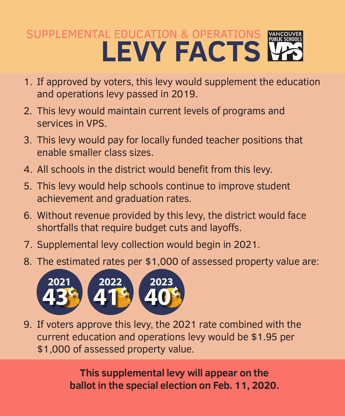## SUPPLEMENTAL EDUCATION & OPERATIONS **LEVY FACTS**

- 1. If approved by voters, this levy would supplement the education and operations levy passed in 2019.
- 2. This levy would maintain current levels of programs and services in VPS.
- 3. This levy would pay for locally funded teacher positions that enable smaller class sizes.
- 4. All schools in the district would benefit from this levy.
- 5. This levy would help schools continue to improve student achievement and graduation rates.
- 6. Without revenue provided by this levy, the district would face shortfalls that require budget cuts and layoffs.
- 7. Supplemental levy collection would begin in 2021.
- 8. The estimated rates per \$1,000 of assessed property value are:



9. If voters approve this levy, the 2021 rate combined with the current education and operations levy would be \$1.95 per \$1,000 of assessed property value.

> **This supplemental levy will appear on the ballot in the special election on Feb. 11, 2020.**